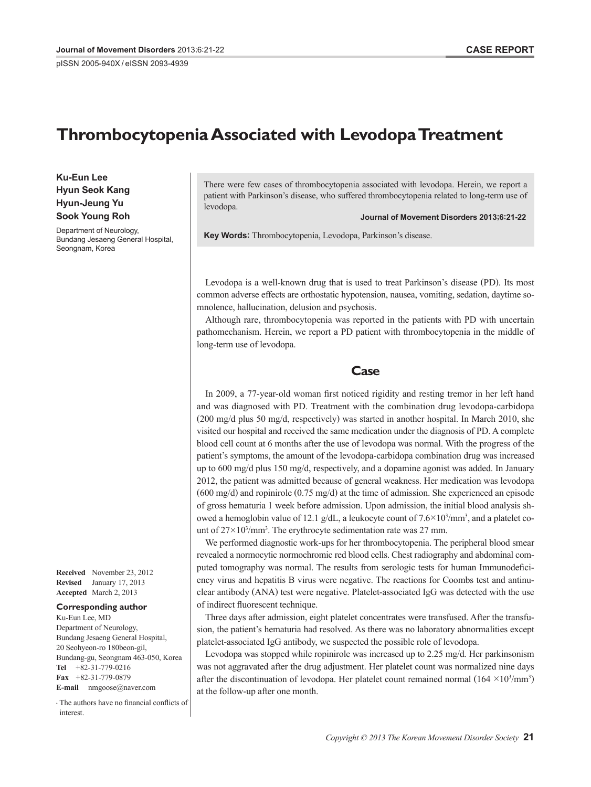pISSN 2005-940X / eISSN 2093-4939

# **Thrombocytopenia Associated with Levodopa Treatment**

**Ku-Eun Lee Hyun Seok Kang Hyun-Jeung Yu Sook Young Roh**

Department of Neurology, Bundang Jesaeng General Hospital, Seongnam, Korea

**Received** November 23, 2012 **Revised** January 17, 2013 **Accepted** March 2, 2013

#### **Corresponding author**

Ku-Eun Lee, MD Department of Neurology, Bundang Jesaeng General Hospital, 20 Seohyeon-ro 180beon-gil, Bundang-gu, Seongnam 463-050, Korea **Tel** +82-31-779-0216 **Fax** +82-31-779-0879 **E-mail** nmgoose@naver.com

•-The authors have no financial conflicts of interest.

There were few cases of thrombocytopenia associated with levodopa. Herein, we report a patient with Parkinson's disease, who suffered thrombocytopenia related to long-term use of levodopa.

**Journal of Movement Disorders 2013;6:21-22**

**Key Words:** Thrombocytopenia, Levodopa, Parkinson's disease.

Levodopa is a well-known drug that is used to treat Parkinson's disease (PD). Its most common adverse effects are orthostatic hypotension, nausea, vomiting, sedation, daytime somnolence, hallucination, delusion and psychosis.

Although rare, thrombocytopenia was reported in the patients with PD with uncertain pathomechanism. Herein, we report a PD patient with thrombocytopenia in the middle of long-term use of levodopa.

### **Case**

In 2009, a 77-year-old woman first noticed rigidity and resting tremor in her left hand and was diagnosed with PD. Treatment with the combination drug levodopa-carbidopa (200 mg/d plus 50 mg/d, respectively) was started in another hospital. In March 2010, she visited our hospital and received the same medication under the diagnosis of PD. A complete blood cell count at 6 months after the use of levodopa was normal. With the progress of the patient's symptoms, the amount of the levodopa-carbidopa combination drug was increased up to 600 mg/d plus 150 mg/d, respectively, and a dopamine agonist was added. In January 2012, the patient was admitted because of general weakness. Her medication was levodopa  $(600 \text{ mg/d})$  and ropinirole  $(0.75 \text{ mg/d})$  at the time of admission. She experienced an episode of gross hematuria 1 week before admission. Upon admission, the initial blood analysis showed a hemoglobin value of 12.1 g/dL, a leukocyte count of  $7.6 \times 10^3/\text{mm}^3$ , and a platelet count of  $27 \times 10^3$ /mm<sup>3</sup>. The erythrocyte sedimentation rate was 27 mm.

We performed diagnostic work-ups for her thrombocytopenia. The peripheral blood smear revealed a normocytic normochromic red blood cells. Chest radiography and abdominal computed tomography was normal. The results from serologic tests for human Immunodeficiency virus and hepatitis B virus were negative. The reactions for Coombs test and antinuclear antibody (ANA) test were negative. Platelet-associated IgG was detected with the use of indirect fluorescent technique.

Three days after admission, eight platelet concentrates were transfused. After the transfusion, the patient's hematuria had resolved. As there was no laboratory abnormalities except platelet-associated IgG antibody, we suspected the possible role of levodopa.

Levodopa was stopped while ropinirole was increased up to 2.25 mg/d. Her parkinsonism was not aggravated after the drug adjustment. Her platelet count was normalized nine days after the discontinuation of levodopa. Her platelet count remained normal  $(164 \times 10^{3}/\text{mm}^3)$ at the follow-up after one month.